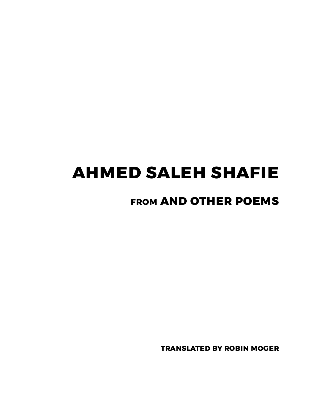## **ahmed saleh shafie**

## **from and other poems**

**translated by robin moger**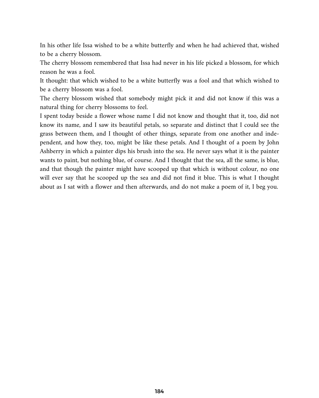In his other life Issa wished to be a white butterfly and when he had achieved that, wished to be a cherry blossom.

The cherry blossom remembered that Issa had never in his life picked a blossom, for which reason he was a fool.

It thought: that which wished to be a white butterfly was a fool and that which wished to be a cherry blossom was a fool.

The cherry blossom wished that somebody might pick it and did not know if this was a natural thing for cherry blossoms to feel.

I spent today beside a flower whose name I did not know and thought that it, too, did not know its name, and I saw its beautiful petals, so separate and distinct that I could see the grass between them, and I thought of other things, separate from one another and independent, and how they, too, might be like these petals. And I thought of a poem by John Ashberry in which a painter dips his brush into the sea. He never says what it is the painter wants to paint, but nothing blue, of course. And I thought that the sea, all the same, is blue, and that though the painter might have scooped up that which is without colour, no one will ever say that he scooped up the sea and did not find it blue. This is what I thought about as I sat with a flower and then afterwards, and do not make a poem of it, I beg you.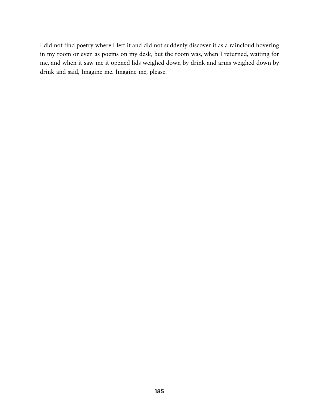I did not find poetry where I left it and did not suddenly discover it as a raincloud hovering in my room or even as poems on my desk, but the room was, when I returned, waiting for me, and when it saw me it opened lids weighed down by drink and arms weighed down by drink and said, Imagine me. Imagine me, please.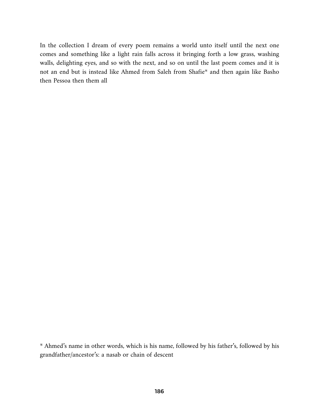In the collection I dream of every poem remains a world unto itself until the next one comes and something like a light rain falls across it bringing forth a low grass, washing walls, delighting eyes, and so with the next, and so on until the last poem comes and it is not an end but is instead like Ahmed from Saleh from Shafie\* and then again like Basho then Pessoa then them all

<sup>\*</sup> Ahmed's name in other words, which is his name, followed by his father's, followed by his grandfather/ancestor's: a nasab or chain of descent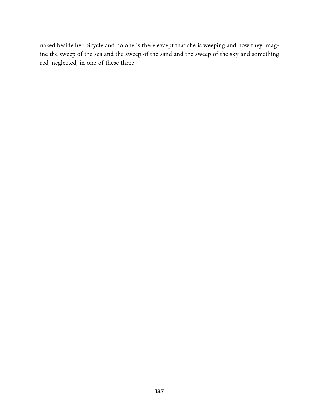naked beside her bicycle and no one is there except that she is weeping and now they imagine the sweep of the sea and the sweep of the sand and the sweep of the sky and something red, neglected, in one of these three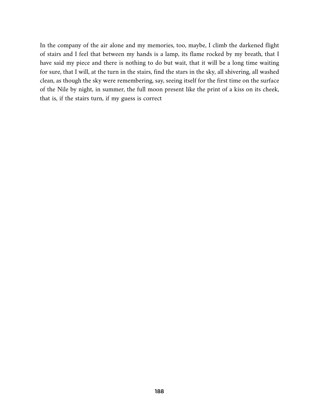In the company of the air alone and my memories, too, maybe, I climb the darkened flight of stairs and I feel that between my hands is a lamp, its flame rocked by my breath, that I have said my piece and there is nothing to do but wait, that it will be a long time waiting for sure, that I will, at the turn in the stairs, find the stars in the sky, all shivering, all washed clean, as though the sky were remembering, say, seeing itself for the first time on the surface of the Nile by night, in summer, the full moon present like the print of a kiss on its cheek, that is, if the stairs turn, if my guess is correct